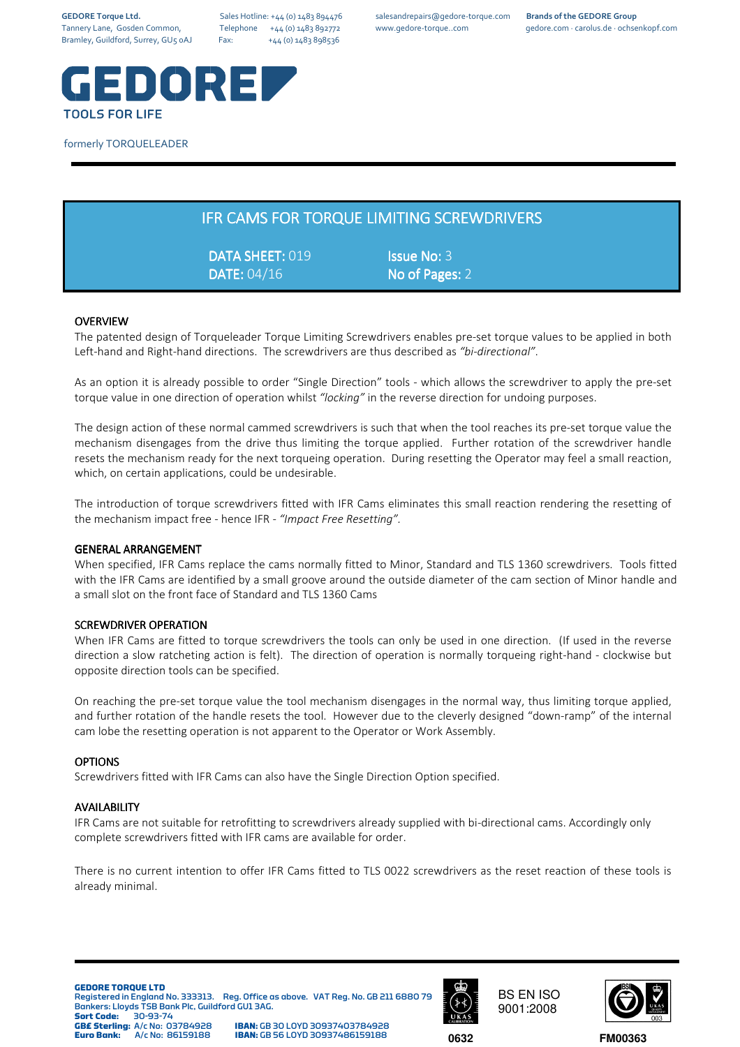

### formerly TORQUELEADER

| <b>IFR CAMS FOR TORQUE LIMITING SCREWDRIVERS</b> |
|--------------------------------------------------|
|--------------------------------------------------|

DATA SHEET: 019 SHEET: ISSUE No: 3 DATE: 04/16 No of Pages: 2

## **OVERVIEW**

The patented design of Torqueleader Torque Limiting Screwdrivers enables pre-set torque values to be applied in both Left-hand and Right-hand directions. The screwdrivers are thus described as *"bi-directional"*.

As an option it is already possible to order "Single Direction" tools - which allows the screwdriver to apply the pre-set torque value in one direction of operation whilst *"locking"* in the reverse direction for undoing purposes.

The design action of these normal cammed screwdrivers is such that when the tool reaches its pre-set torque value the mechanism disengages from the drive thus limiting the torque applied. Further rotation of the screwdriver handle resets the mechanism ready for the next torqueing operation. During resetting the Operator may feel a small reaction, which, on certain applications, could be undesirable.

The introduction of torque screwdrivers fitted with IFR Cams eliminates this small reaction rendering the resetting of the mechanism impact free - hence IFR - *"Impact Free Resetting".*

#### GENERAL ARRANGEMENT

When specified, IFR Cams replace the cams normally fitted to Minor, Standard and TLS 1360 screwdrivers. Tools fitted with the IFR Cams are identified by a small groove around the outside diameter of the cam section of Minor handle and a small slot on the front face of Standard and TLS 1360 Cams

#### SCREWDRIVER OPERATION

When IFR Cams are fitted to torque screwdrivers the tools can only be used in one direction. (If used in the reverse direction a slow ratcheting action is felt). The direction of operation is normally torqueing right-hand - clockwise but opposite direction tools can be specified.

On reaching the pre-set torque value the tool mechanism disengages in the normal way, thus limiting torque applied, and further rotation of the handle resets the tool. However due to the cleverly designed "down-ramp" of the internal cam lobe the resetting operation is not apparent to the Operator or Work Assembly.

#### OPTIONS

Screwdrivers fitted with IFR Cams can also have the Single Direction Option specified.

#### **AVAILABILITY**

IFR Cams are not suitable for retrofitting to screwdrivers already supplied with bi-directional cams. Accordingly only complete screwdrivers fitted with IFR cams are available for order.

There is no current intention to offer IFR Cams fitted to TLS 0022 screwdrivers as the reset reaction of these tools is already minimal.

#### **GEDORE TORQUE LTD**

Registered in England No. 333313. Reg. Office as above. VAT Reg. No. GB 211 6880 79 Bankers: Lloyds TSB Bank Plc, Guildford GU1 3AG.<br>Sort Code: 30-93-74

**Sort Code:** 30-93-74<br>**GB£ Sterling:** A/c No: 03784928 **GB£ Sterling:** A/c No: 03784928 **IBAN:** GB 30 LOYD 30937403784928

**Euro Bank:** A/c No: 86159188 **IBAN:** GB 56 LOYD 30937486159188 **0632**



BS EN ISO 9001:2008



**FM00363**